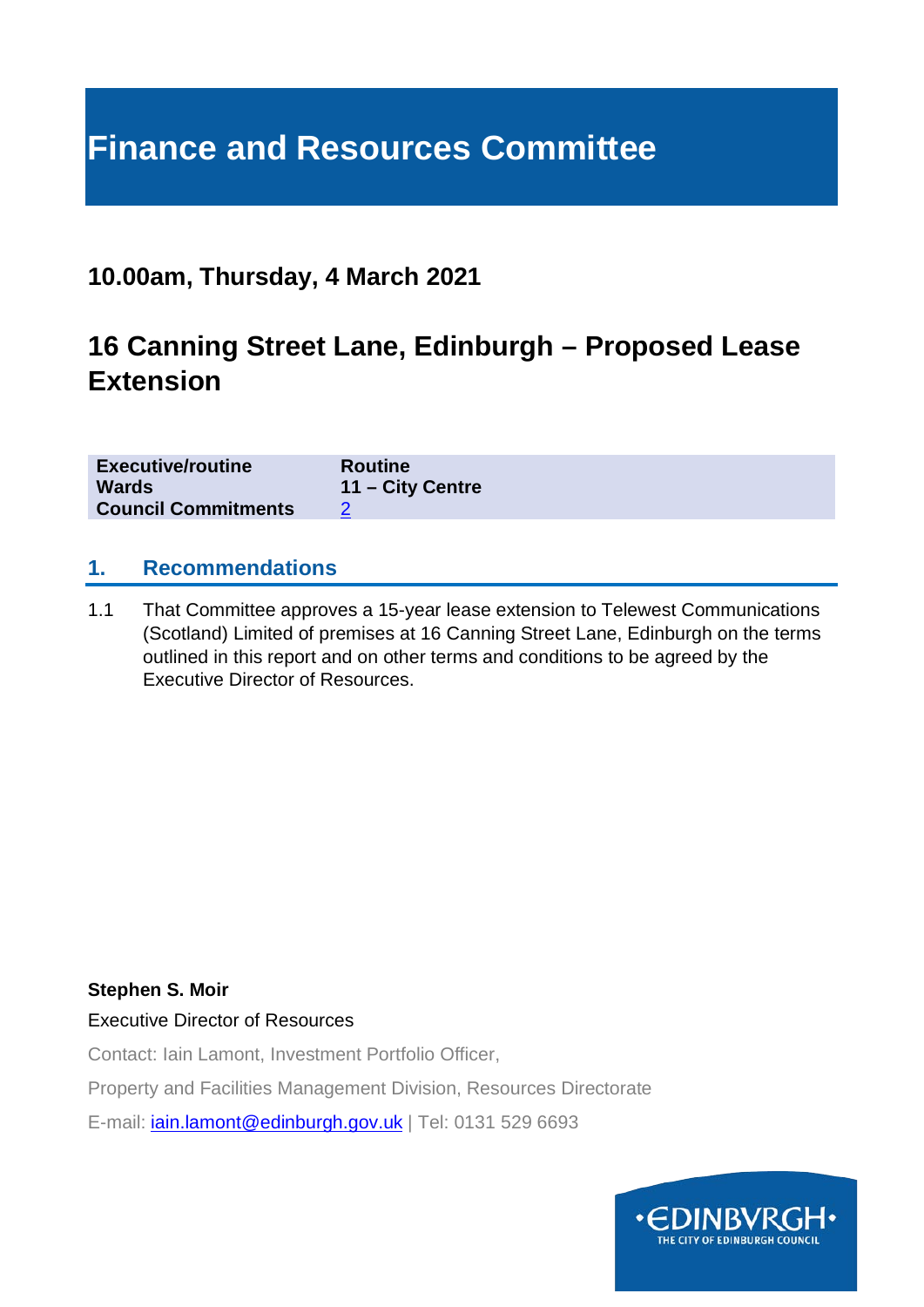# **Finance and Resources Committee**

### **10.00am, Thursday, 4 March 2021**

### **16 Canning Street Lane, Edinburgh – Proposed Lease Extension**

| <b>Executive/routine</b>   | <b>Routine</b>   |
|----------------------------|------------------|
| <b>Wards</b>               | 11 – City Centre |
| <b>Council Commitments</b> |                  |

#### **1. Recommendations**

1.1 That Committee approves a 15-year lease extension to Telewest Communications (Scotland) Limited of premises at 16 Canning Street Lane, Edinburgh on the terms outlined in this report and on other terms and conditions to be agreed by the Executive Director of Resources.

#### **Stephen S. Moir**

Executive Director of Resources

Contact: Iain Lamont, Investment Portfolio Officer,

Property and Facilities Management Division, Resources Directorate

E-mail: *[iain.lamont@edinburgh.gov.uk](mailto:iain.lamont@edinburgh.gov.uk)* | Tel: 0131 529 6693

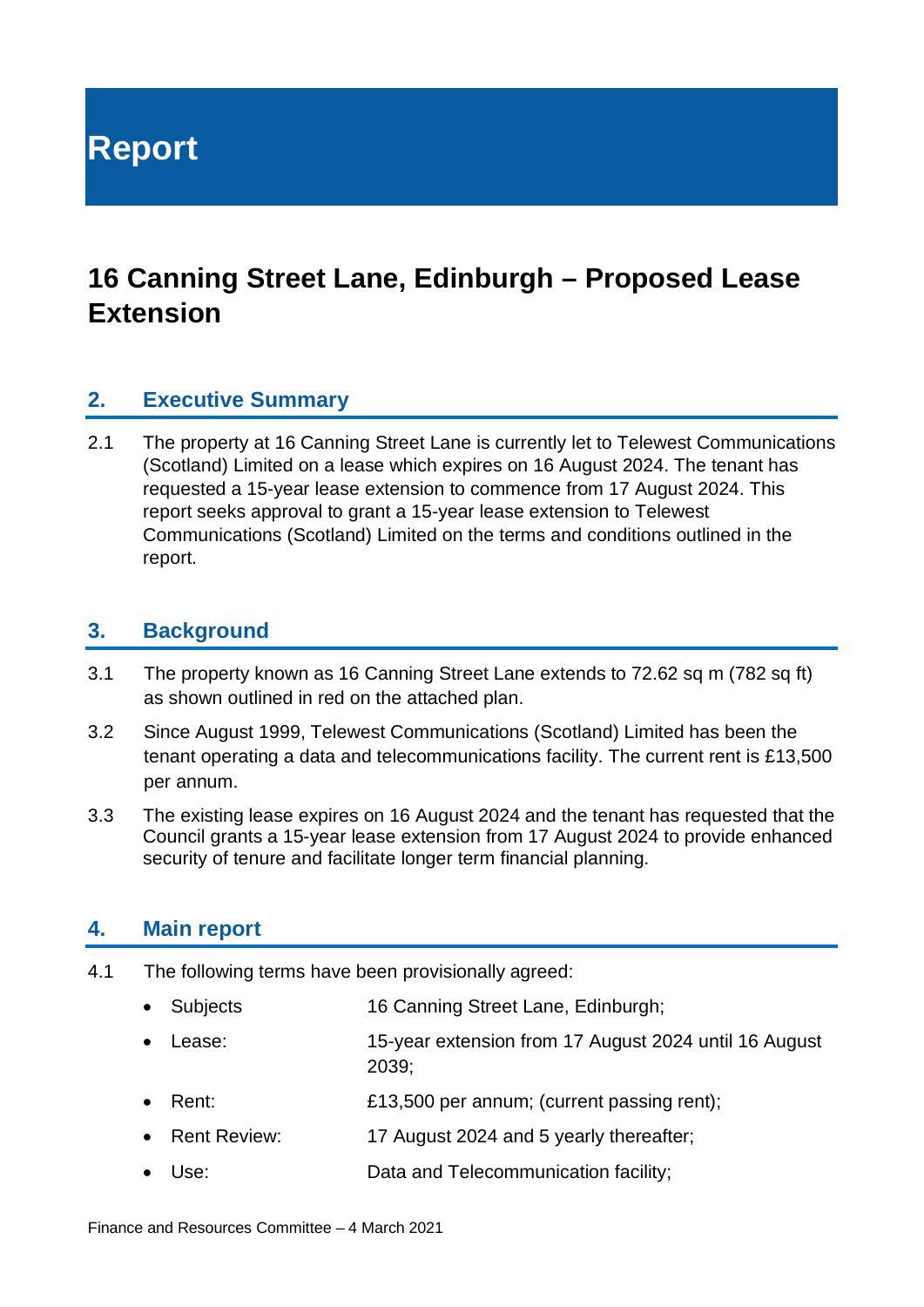**Report**

## **16 Canning Street Lane, Edinburgh – Proposed Lease Extension**

#### **2. Executive Summary**

2.1 The property at 16 Canning Street Lane is currently let to Telewest Communications (Scotland) Limited on a lease which expires on 16 August 2024. The tenant has requested a 15-year lease extension to commence from 17 August 2024. This report seeks approval to grant a 15-year lease extension to Telewest Communications (Scotland) Limited on the terms and conditions outlined in the report.

#### **3. Background**

- 3.1 The property known as 16 Canning Street Lane extends to 72.62 sq m (782 sq ft) as shown outlined in red on the attached plan.
- 3.2 Since August 1999, Telewest Communications (Scotland) Limited has been the tenant operating a data and telecommunications facility. The current rent is £13,500 per annum.
- 3.3 The existing lease expires on 16 August 2024 and the tenant has requested that the Council grants a 15-year lease extension from 17 August 2024 to provide enhanced security of tenure and facilitate longer term financial planning.

#### **4. Main report**

- 4.1 The following terms have been provisionally agreed:
	- Subjects 16 Canning Street Lane, Edinburgh; • Lease: 15-year extension from 17 August 2024 until 16 August 2039; • Rent: **E13,500 per annum**; (current passing rent);
	- Rent Review: 17 August 2024 and 5 yearly thereafter;
	- Use: Data and Telecommunication facility;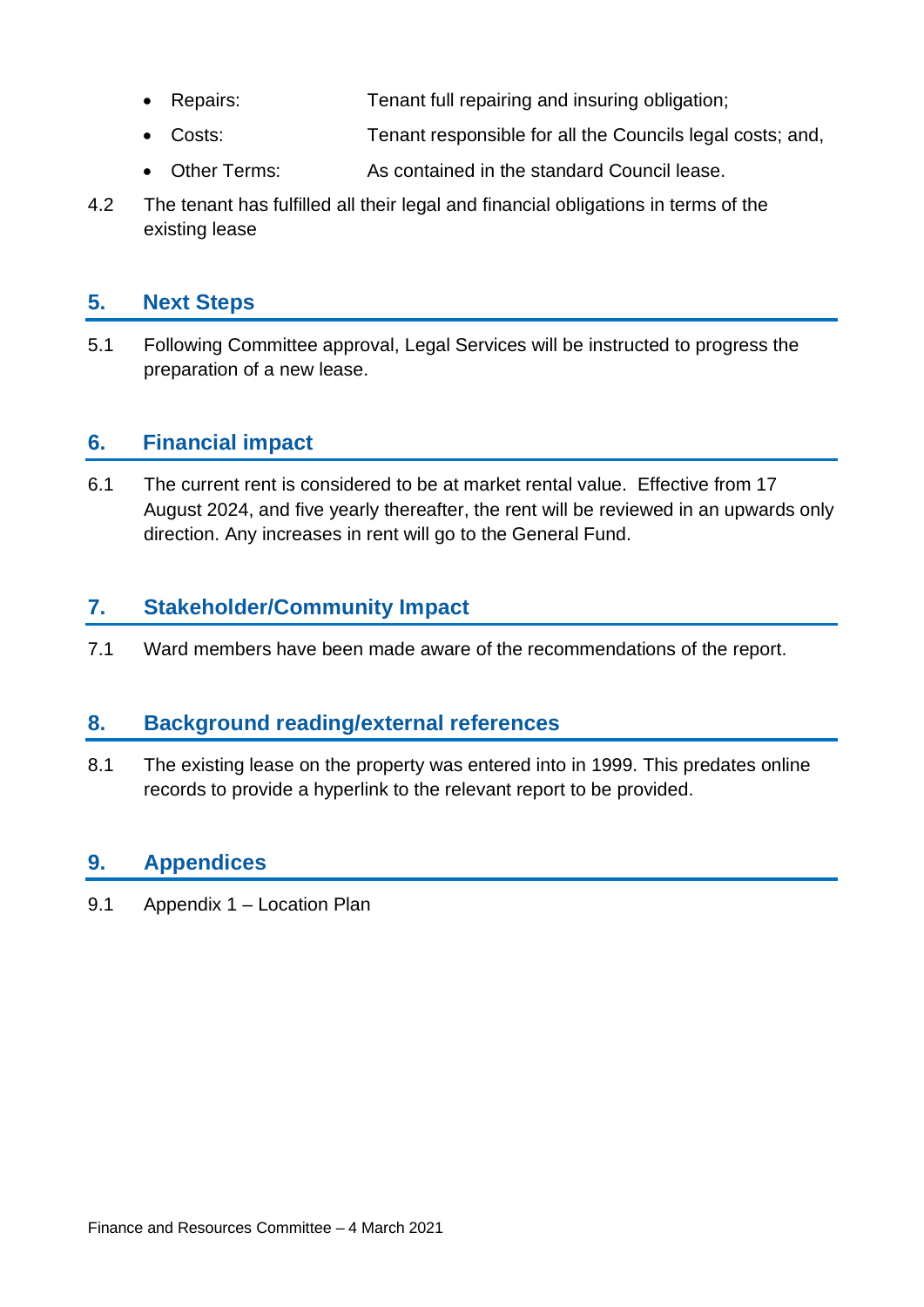- Repairs: Tenant full repairing and insuring obligation;
- Costs: Tenant responsible for all the Councils legal costs; and,
- Other Terms: As contained in the standard Council lease.
- 4.2 The tenant has fulfilled all their legal and financial obligations in terms of the existing lease

#### **5. Next Steps**

5.1 Following Committee approval, Legal Services will be instructed to progress the preparation of a new lease.

#### **6. Financial impact**

6.1 The current rent is considered to be at market rental value. Effective from 17 August 2024, and five yearly thereafter, the rent will be reviewed in an upwards only direction. Any increases in rent will go to the General Fund.

#### **7. Stakeholder/Community Impact**

7.1 Ward members have been made aware of the recommendations of the report.

#### **8. Background reading/external references**

8.1 The existing lease on the property was entered into in 1999. This predates online records to provide a hyperlink to the relevant report to be provided.

#### **9. Appendices**

9.1 Appendix 1 – Location Plan